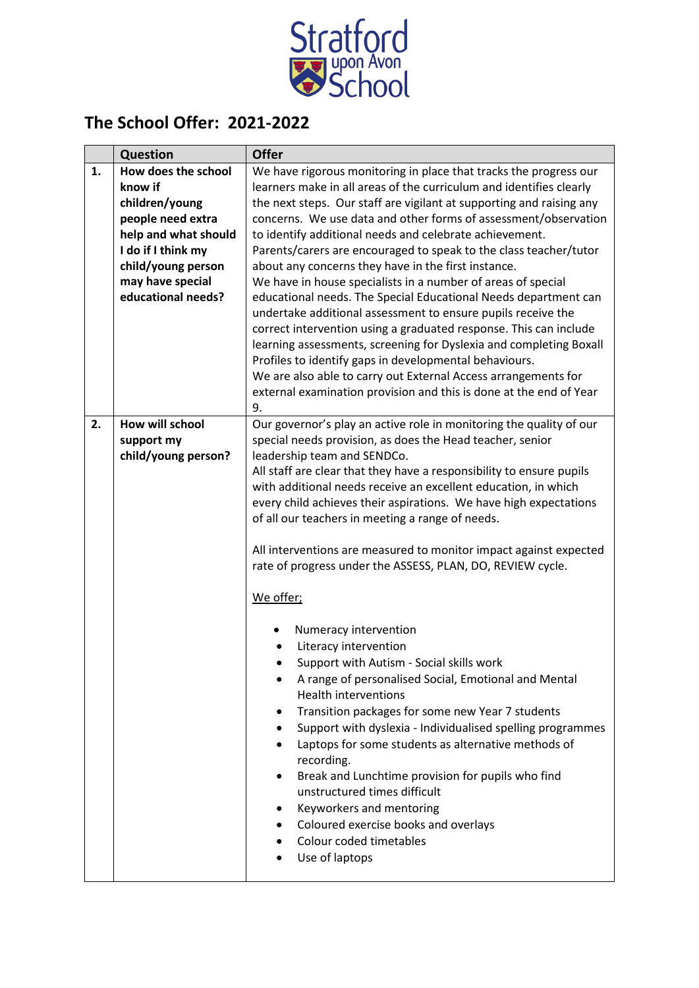

## **The School Offer: 2021-2022**

|    | <b>Question</b>                                      | <b>Offer</b>                                                                                                                                                                                                                                                                                                                                                                                                                                                                                                                                                                                          |
|----|------------------------------------------------------|-------------------------------------------------------------------------------------------------------------------------------------------------------------------------------------------------------------------------------------------------------------------------------------------------------------------------------------------------------------------------------------------------------------------------------------------------------------------------------------------------------------------------------------------------------------------------------------------------------|
| 1. | How does the school                                  | We have rigorous monitoring in place that tracks the progress our                                                                                                                                                                                                                                                                                                                                                                                                                                                                                                                                     |
|    | know if                                              | learners make in all areas of the curriculum and identifies clearly                                                                                                                                                                                                                                                                                                                                                                                                                                                                                                                                   |
|    | children/young                                       | the next steps. Our staff are vigilant at supporting and raising any                                                                                                                                                                                                                                                                                                                                                                                                                                                                                                                                  |
|    | people need extra                                    | concerns. We use data and other forms of assessment/observation                                                                                                                                                                                                                                                                                                                                                                                                                                                                                                                                       |
|    | help and what should                                 | to identify additional needs and celebrate achievement.                                                                                                                                                                                                                                                                                                                                                                                                                                                                                                                                               |
|    | I do if I think my                                   | Parents/carers are encouraged to speak to the class teacher/tutor                                                                                                                                                                                                                                                                                                                                                                                                                                                                                                                                     |
|    | child/young person                                   | about any concerns they have in the first instance.                                                                                                                                                                                                                                                                                                                                                                                                                                                                                                                                                   |
|    | may have special                                     | We have in house specialists in a number of areas of special                                                                                                                                                                                                                                                                                                                                                                                                                                                                                                                                          |
|    | educational needs?                                   | educational needs. The Special Educational Needs department can<br>undertake additional assessment to ensure pupils receive the<br>correct intervention using a graduated response. This can include<br>learning assessments, screening for Dyslexia and completing Boxall<br>Profiles to identify gaps in developmental behaviours.<br>We are also able to carry out External Access arrangements for<br>external examination provision and this is done at the end of Year<br>9.                                                                                                                    |
| 2. | How will school<br>support my<br>child/young person? | Our governor's play an active role in monitoring the quality of our<br>special needs provision, as does the Head teacher, senior<br>leadership team and SENDCo.<br>All staff are clear that they have a responsibility to ensure pupils<br>with additional needs receive an excellent education, in which<br>every child achieves their aspirations. We have high expectations<br>of all our teachers in meeting a range of needs.                                                                                                                                                                    |
|    |                                                      | All interventions are measured to monitor impact against expected<br>rate of progress under the ASSESS, PLAN, DO, REVIEW cycle.                                                                                                                                                                                                                                                                                                                                                                                                                                                                       |
|    |                                                      | We offer;                                                                                                                                                                                                                                                                                                                                                                                                                                                                                                                                                                                             |
|    |                                                      | Numeracy intervention<br>Literacy intervention<br>Support with Autism - Social skills work<br>$\bullet$<br>A range of personalised Social, Emotional and Mental<br><b>Health interventions</b><br>Transition packages for some new Year 7 students<br>Support with dyslexia - Individualised spelling programmes<br>٠<br>Laptops for some students as alternative methods of<br>recording.<br>Break and Lunchtime provision for pupils who find<br>٠<br>unstructured times difficult<br>Keyworkers and mentoring<br>Coloured exercise books and overlays<br>Colour coded timetables<br>Use of laptops |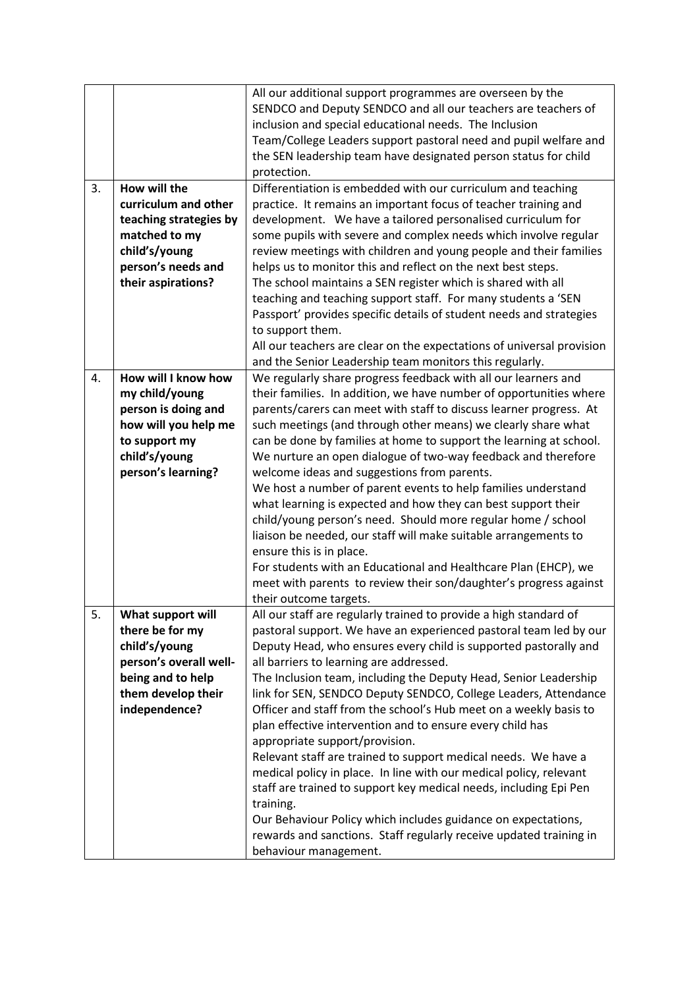|    |                                      | All our additional support programmes are overseen by the<br>SENDCO and Deputy SENDCO and all our teachers are teachers of<br>inclusion and special educational needs. The Inclusion<br>Team/College Leaders support pastoral need and pupil welfare and<br>the SEN leadership team have designated person status for child |
|----|--------------------------------------|-----------------------------------------------------------------------------------------------------------------------------------------------------------------------------------------------------------------------------------------------------------------------------------------------------------------------------|
| 3. | How will the                         | protection.<br>Differentiation is embedded with our curriculum and teaching                                                                                                                                                                                                                                                 |
|    | curriculum and other                 | practice. It remains an important focus of teacher training and                                                                                                                                                                                                                                                             |
|    | teaching strategies by               | development. We have a tailored personalised curriculum for                                                                                                                                                                                                                                                                 |
|    | matched to my                        | some pupils with severe and complex needs which involve regular                                                                                                                                                                                                                                                             |
|    | child's/young                        | review meetings with children and young people and their families                                                                                                                                                                                                                                                           |
|    | person's needs and                   | helps us to monitor this and reflect on the next best steps.                                                                                                                                                                                                                                                                |
|    | their aspirations?                   | The school maintains a SEN register which is shared with all                                                                                                                                                                                                                                                                |
|    |                                      | teaching and teaching support staff. For many students a 'SEN<br>Passport' provides specific details of student needs and strategies                                                                                                                                                                                        |
|    |                                      | to support them.                                                                                                                                                                                                                                                                                                            |
|    |                                      | All our teachers are clear on the expectations of universal provision                                                                                                                                                                                                                                                       |
|    |                                      | and the Senior Leadership team monitors this regularly.                                                                                                                                                                                                                                                                     |
| 4. | How will I know how                  | We regularly share progress feedback with all our learners and                                                                                                                                                                                                                                                              |
|    | my child/young                       | their families. In addition, we have number of opportunities where                                                                                                                                                                                                                                                          |
|    | person is doing and                  | parents/carers can meet with staff to discuss learner progress. At                                                                                                                                                                                                                                                          |
|    | how will you help me                 | such meetings (and through other means) we clearly share what                                                                                                                                                                                                                                                               |
|    | to support my                        | can be done by families at home to support the learning at school.                                                                                                                                                                                                                                                          |
|    | child's/young<br>person's learning?  | We nurture an open dialogue of two-way feedback and therefore<br>welcome ideas and suggestions from parents.                                                                                                                                                                                                                |
|    |                                      | We host a number of parent events to help families understand                                                                                                                                                                                                                                                               |
|    |                                      | what learning is expected and how they can best support their                                                                                                                                                                                                                                                               |
|    |                                      | child/young person's need. Should more regular home / school                                                                                                                                                                                                                                                                |
|    |                                      | liaison be needed, our staff will make suitable arrangements to                                                                                                                                                                                                                                                             |
|    |                                      | ensure this is in place.                                                                                                                                                                                                                                                                                                    |
|    |                                      | For students with an Educational and Healthcare Plan (EHCP), we                                                                                                                                                                                                                                                             |
|    |                                      | meet with parents to review their son/daughter's progress against                                                                                                                                                                                                                                                           |
| 5. |                                      | their outcome targets.                                                                                                                                                                                                                                                                                                      |
|    | What support will<br>there be for my | All our staff are regularly trained to provide a high standard of<br>pastoral support. We have an experienced pastoral team led by our                                                                                                                                                                                      |
|    | child's/young                        | Deputy Head, who ensures every child is supported pastorally and                                                                                                                                                                                                                                                            |
|    | person's overall well-               | all barriers to learning are addressed.                                                                                                                                                                                                                                                                                     |
|    | being and to help                    | The Inclusion team, including the Deputy Head, Senior Leadership                                                                                                                                                                                                                                                            |
|    | them develop their                   | link for SEN, SENDCO Deputy SENDCO, College Leaders, Attendance                                                                                                                                                                                                                                                             |
|    | independence?                        | Officer and staff from the school's Hub meet on a weekly basis to                                                                                                                                                                                                                                                           |
|    |                                      | plan effective intervention and to ensure every child has                                                                                                                                                                                                                                                                   |
|    |                                      | appropriate support/provision.                                                                                                                                                                                                                                                                                              |
|    |                                      | Relevant staff are trained to support medical needs. We have a                                                                                                                                                                                                                                                              |
|    |                                      | medical policy in place. In line with our medical policy, relevant<br>staff are trained to support key medical needs, including Epi Pen                                                                                                                                                                                     |
|    |                                      | training.                                                                                                                                                                                                                                                                                                                   |
|    |                                      | Our Behaviour Policy which includes guidance on expectations,                                                                                                                                                                                                                                                               |
|    |                                      | rewards and sanctions. Staff regularly receive updated training in                                                                                                                                                                                                                                                          |
|    |                                      | behaviour management.                                                                                                                                                                                                                                                                                                       |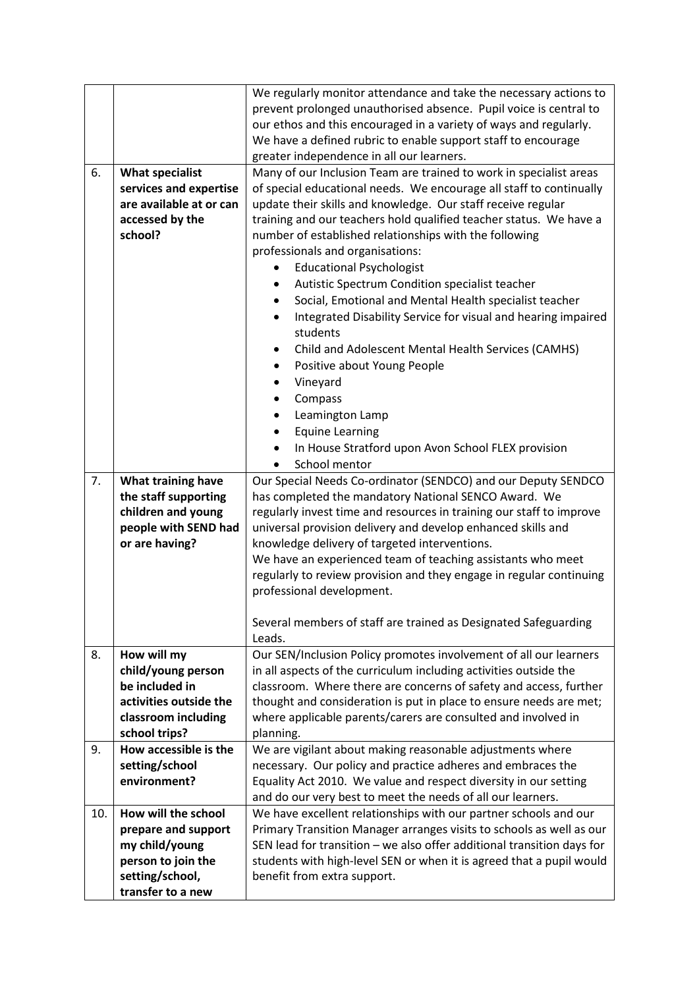|     |                                   | We regularly monitor attendance and take the necessary actions to         |
|-----|-----------------------------------|---------------------------------------------------------------------------|
|     |                                   | prevent prolonged unauthorised absence. Pupil voice is central to         |
|     |                                   | our ethos and this encouraged in a variety of ways and regularly.         |
|     |                                   | We have a defined rubric to enable support staff to encourage             |
|     |                                   | greater independence in all our learners.                                 |
| 6.  | <b>What specialist</b>            | Many of our Inclusion Team are trained to work in specialist areas        |
|     | services and expertise            | of special educational needs. We encourage all staff to continually       |
|     | are available at or can           | update their skills and knowledge. Our staff receive regular              |
|     | accessed by the                   | training and our teachers hold qualified teacher status. We have a        |
|     | school?                           | number of established relationships with the following                    |
|     |                                   | professionals and organisations:                                          |
|     |                                   | <b>Educational Psychologist</b>                                           |
|     |                                   | Autistic Spectrum Condition specialist teacher<br>٠                       |
|     |                                   | Social, Emotional and Mental Health specialist teacher<br>$\bullet$       |
|     |                                   | Integrated Disability Service for visual and hearing impaired             |
|     |                                   | students                                                                  |
|     |                                   | Child and Adolescent Mental Health Services (CAMHS)<br>٠                  |
|     |                                   | Positive about Young People<br>٠                                          |
|     |                                   | Vineyard<br>٠                                                             |
|     |                                   |                                                                           |
|     |                                   | Compass<br>٠                                                              |
|     |                                   | Leamington Lamp                                                           |
|     |                                   | <b>Equine Learning</b><br>$\bullet$                                       |
|     |                                   | In House Stratford upon Avon School FLEX provision<br>٠                   |
|     |                                   | School mentor                                                             |
| 7.  | What training have                | Our Special Needs Co-ordinator (SENDCO) and our Deputy SENDCO             |
|     | the staff supporting              | has completed the mandatory National SENCO Award. We                      |
|     | children and young                | regularly invest time and resources in training our staff to improve      |
|     | people with SEND had              | universal provision delivery and develop enhanced skills and              |
|     | or are having?                    | knowledge delivery of targeted interventions.                             |
|     |                                   | We have an experienced team of teaching assistants who meet               |
|     |                                   | regularly to review provision and they engage in regular continuing       |
|     |                                   | professional development.                                                 |
|     |                                   |                                                                           |
|     |                                   | Several members of staff are trained as Designated Safeguarding<br>Leads. |
| 8.  |                                   | Our SEN/Inclusion Policy promotes involvement of all our learners         |
|     | How will my<br>child/young person | in all aspects of the curriculum including activities outside the         |
|     | be included in                    | classroom. Where there are concerns of safety and access, further         |
|     | activities outside the            | thought and consideration is put in place to ensure needs are met;        |
|     | classroom including               | where applicable parents/carers are consulted and involved in             |
|     | school trips?                     | planning.                                                                 |
| 9.  | How accessible is the             | We are vigilant about making reasonable adjustments where                 |
|     | setting/school                    | necessary. Our policy and practice adheres and embraces the               |
|     | environment?                      | Equality Act 2010. We value and respect diversity in our setting          |
|     |                                   | and do our very best to meet the needs of all our learners.               |
| 10. | How will the school               | We have excellent relationships with our partner schools and our          |
|     | prepare and support               | Primary Transition Manager arranges visits to schools as well as our      |
|     | my child/young                    | SEN lead for transition - we also offer additional transition days for    |
|     | person to join the                | students with high-level SEN or when it is agreed that a pupil would      |
|     | setting/school,                   | benefit from extra support.                                               |
|     | transfer to a new                 |                                                                           |
|     |                                   |                                                                           |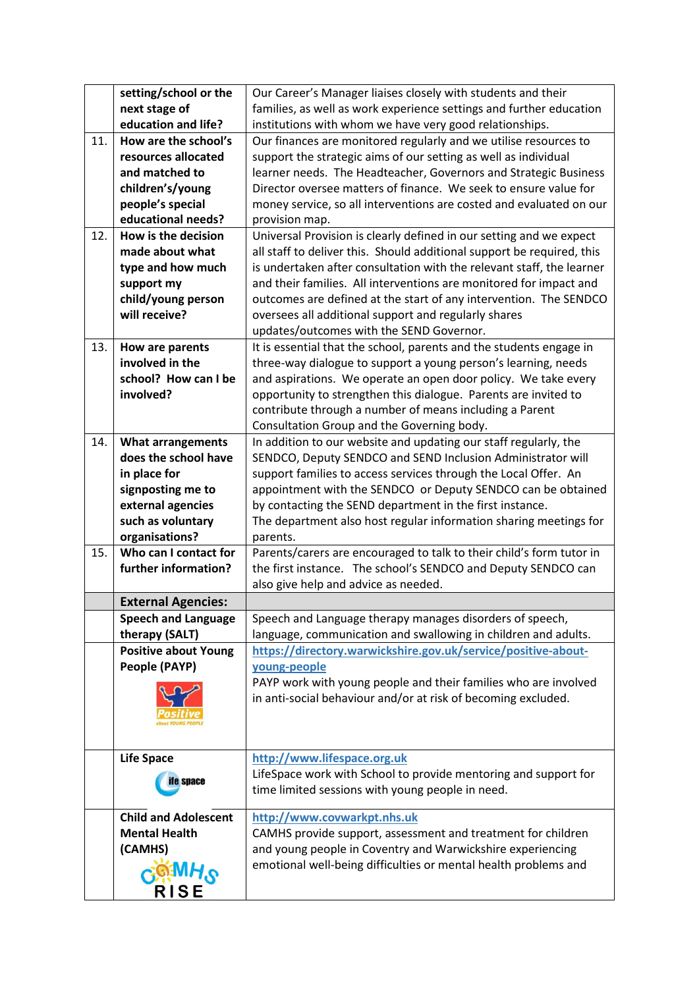|     | setting/school or the       | Our Career's Manager liaises closely with students and their           |
|-----|-----------------------------|------------------------------------------------------------------------|
|     | next stage of               | families, as well as work experience settings and further education    |
|     | education and life?         | institutions with whom we have very good relationships.                |
| 11. | How are the school's        | Our finances are monitored regularly and we utilise resources to       |
|     | resources allocated         | support the strategic aims of our setting as well as individual        |
|     | and matched to              | learner needs. The Headteacher, Governors and Strategic Business       |
|     | children's/young            | Director oversee matters of finance. We seek to ensure value for       |
|     | people's special            | money service, so all interventions are costed and evaluated on our    |
|     | educational needs?          | provision map.                                                         |
| 12. | How is the decision         | Universal Provision is clearly defined in our setting and we expect    |
|     | made about what             | all staff to deliver this. Should additional support be required, this |
|     | type and how much           | is undertaken after consultation with the relevant staff, the learner  |
|     | support my                  | and their families. All interventions are monitored for impact and     |
|     | child/young person          | outcomes are defined at the start of any intervention. The SENDCO      |
|     | will receive?               | oversees all additional support and regularly shares                   |
|     |                             | updates/outcomes with the SEND Governor.                               |
| 13. | How are parents             | It is essential that the school, parents and the students engage in    |
|     | involved in the             | three-way dialogue to support a young person's learning, needs         |
|     | school? How can I be        | and aspirations. We operate an open door policy. We take every         |
|     | involved?                   | opportunity to strengthen this dialogue. Parents are invited to        |
|     |                             | contribute through a number of means including a Parent                |
|     |                             | Consultation Group and the Governing body.                             |
| 14. | <b>What arrangements</b>    | In addition to our website and updating our staff regularly, the       |
|     | does the school have        | SENDCO, Deputy SENDCO and SEND Inclusion Administrator will            |
|     | in place for                | support families to access services through the Local Offer. An        |
|     | signposting me to           | appointment with the SENDCO or Deputy SENDCO can be obtained           |
|     | external agencies           | by contacting the SEND department in the first instance.               |
|     | such as voluntary           | The department also host regular information sharing meetings for      |
|     | organisations?              | parents.                                                               |
| 15. | Who can I contact for       | Parents/carers are encouraged to talk to their child's form tutor in   |
|     | further information?        | the first instance. The school's SENDCO and Deputy SENDCO can          |
|     |                             | also give help and advice as needed.                                   |
|     | <b>External Agencies:</b>   |                                                                        |
|     | <b>Speech and Language</b>  | Speech and Language therapy manages disorders of speech,               |
|     | therapy (SALT)              | language, communication and swallowing in children and adults.         |
|     | <b>Positive about Young</b> | https://directory.warwickshire.gov.uk/service/positive-about-          |
|     | People (PAYP)               | young-people                                                           |
|     |                             | PAYP work with young people and their families who are involved        |
|     |                             | in anti-social behaviour and/or at risk of becoming excluded.          |
|     |                             |                                                                        |
|     |                             |                                                                        |
|     |                             |                                                                        |
|     | <b>Life Space</b>           | http://www.lifespace.org.uk                                            |
|     | <b>ife</b> space            | LifeSpace work with School to provide mentoring and support for        |
|     |                             | time limited sessions with young people in need.                       |
|     | <b>Child and Adolescent</b> | http://www.covwarkpt.nhs.uk                                            |
|     | <b>Mental Health</b>        | CAMHS provide support, assessment and treatment for children           |
|     | (CAMHS)                     | and young people in Coventry and Warwickshire experiencing             |
|     |                             | emotional well-being difficulties or mental health problems and        |
|     | <b>OHMF</b> O               |                                                                        |
|     | <b>RISE</b>                 |                                                                        |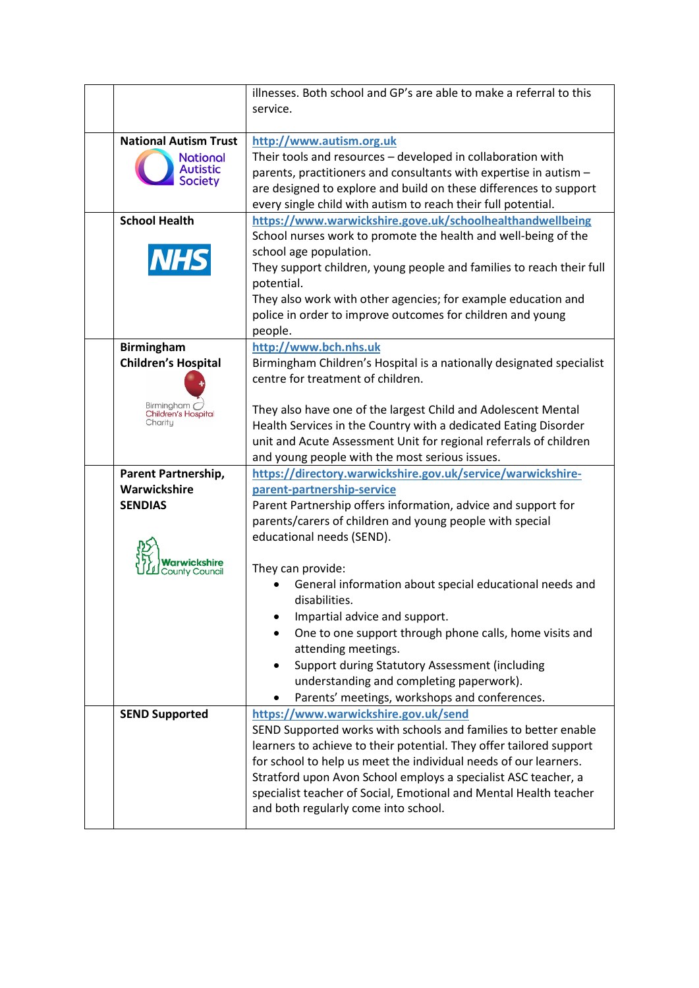|                                              | illnesses. Both school and GP's are able to make a referral to this                |
|----------------------------------------------|------------------------------------------------------------------------------------|
|                                              | service.                                                                           |
|                                              |                                                                                    |
| <b>National Autism Trust</b>                 | http://www.autism.org.uk                                                           |
| <b>National</b>                              | Their tools and resources - developed in collaboration with                        |
| <b>Autistic</b>                              | parents, practitioners and consultants with expertise in autism -                  |
| <b>Society</b>                               | are designed to explore and build on these differences to support                  |
|                                              | every single child with autism to reach their full potential.                      |
| <b>School Health</b>                         | https://www.warwickshire.gove.uk/schoolhealthandwellbeing                          |
|                                              | School nurses work to promote the health and well-being of the                     |
|                                              | school age population.                                                             |
| <b>NHS</b>                                   |                                                                                    |
|                                              | They support children, young people and families to reach their full<br>potential. |
|                                              |                                                                                    |
|                                              | They also work with other agencies; for example education and                      |
|                                              | police in order to improve outcomes for children and young                         |
|                                              | people.                                                                            |
| <b>Birmingham</b>                            | http://www.bch.nhs.uk                                                              |
| <b>Children's Hospital</b>                   | Birmingham Children's Hospital is a nationally designated specialist               |
|                                              | centre for treatment of children.                                                  |
|                                              |                                                                                    |
| Birmingham<br>Children's Hospital<br>Charity | They also have one of the largest Child and Adolescent Mental                      |
|                                              | Health Services in the Country with a dedicated Eating Disorder                    |
|                                              | unit and Acute Assessment Unit for regional referrals of children                  |
|                                              | and young people with the most serious issues.                                     |
| Parent Partnership,                          | https://directory.warwickshire.gov.uk/service/warwickshire-                        |
| Warwickshire                                 | parent-partnership-service                                                         |
| <b>SENDIAS</b>                               | Parent Partnership offers information, advice and support for                      |
|                                              | parents/carers of children and young people with special                           |
|                                              | educational needs (SEND).                                                          |
|                                              |                                                                                    |
|                                              | They can provide:                                                                  |
|                                              | General information about special educational needs and                            |
|                                              | disabilities.                                                                      |
|                                              | Impartial advice and support.                                                      |
|                                              | One to one support through phone calls, home visits and                            |
|                                              | attending meetings.                                                                |
|                                              | Support during Statutory Assessment (including                                     |
|                                              | understanding and completing paperwork).                                           |
|                                              | Parents' meetings, workshops and conferences.<br>٠                                 |
| <b>SEND Supported</b>                        | https://www.warwickshire.gov.uk/send                                               |
|                                              | SEND Supported works with schools and families to better enable                    |
|                                              | learners to achieve to their potential. They offer tailored support                |
|                                              | for school to help us meet the individual needs of our learners.                   |
|                                              | Stratford upon Avon School employs a specialist ASC teacher, a                     |
|                                              | specialist teacher of Social, Emotional and Mental Health teacher                  |
|                                              | and both regularly come into school.                                               |
|                                              |                                                                                    |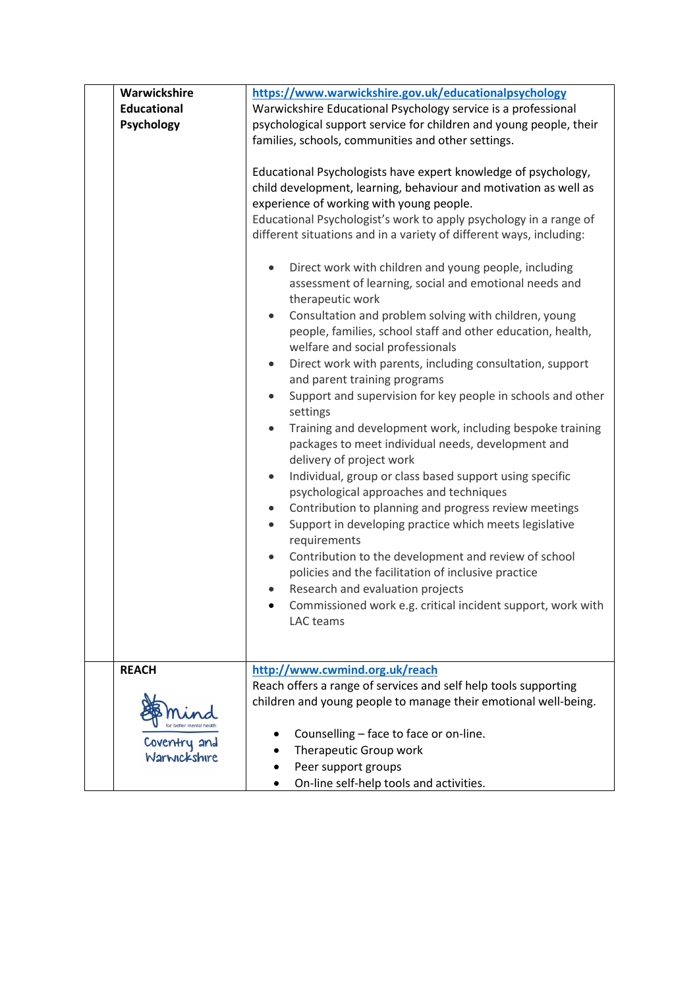| Warwickshire                 | https://www.warwickshire.gov.uk/educationalpsychology                                                                                                                                                                                                                                                                                                                                                                                                                                                                                                                                                                                                                                                                                                                                                                                                                                                                                                                                                                                                                                                                                                                                                                                                                                                                                                                                                                                                                                                                        |
|------------------------------|------------------------------------------------------------------------------------------------------------------------------------------------------------------------------------------------------------------------------------------------------------------------------------------------------------------------------------------------------------------------------------------------------------------------------------------------------------------------------------------------------------------------------------------------------------------------------------------------------------------------------------------------------------------------------------------------------------------------------------------------------------------------------------------------------------------------------------------------------------------------------------------------------------------------------------------------------------------------------------------------------------------------------------------------------------------------------------------------------------------------------------------------------------------------------------------------------------------------------------------------------------------------------------------------------------------------------------------------------------------------------------------------------------------------------------------------------------------------------------------------------------------------------|
| <b>Educational</b>           | Warwickshire Educational Psychology service is a professional                                                                                                                                                                                                                                                                                                                                                                                                                                                                                                                                                                                                                                                                                                                                                                                                                                                                                                                                                                                                                                                                                                                                                                                                                                                                                                                                                                                                                                                                |
| Psychology                   | psychological support service for children and young people, their                                                                                                                                                                                                                                                                                                                                                                                                                                                                                                                                                                                                                                                                                                                                                                                                                                                                                                                                                                                                                                                                                                                                                                                                                                                                                                                                                                                                                                                           |
|                              | families, schools, communities and other settings.                                                                                                                                                                                                                                                                                                                                                                                                                                                                                                                                                                                                                                                                                                                                                                                                                                                                                                                                                                                                                                                                                                                                                                                                                                                                                                                                                                                                                                                                           |
|                              | Educational Psychologists have expert knowledge of psychology,<br>child development, learning, behaviour and motivation as well as<br>experience of working with young people.<br>Educational Psychologist's work to apply psychology in a range of<br>different situations and in a variety of different ways, including:<br>Direct work with children and young people, including<br>$\bullet$<br>assessment of learning, social and emotional needs and<br>therapeutic work<br>Consultation and problem solving with children, young<br>$\bullet$<br>people, families, school staff and other education, health,<br>welfare and social professionals<br>Direct work with parents, including consultation, support<br>and parent training programs<br>Support and supervision for key people in schools and other<br>$\bullet$<br>settings<br>Training and development work, including bespoke training<br>$\bullet$<br>packages to meet individual needs, development and<br>delivery of project work<br>Individual, group or class based support using specific<br>٠<br>psychological approaches and techniques<br>Contribution to planning and progress review meetings<br>$\bullet$<br>Support in developing practice which meets legislative<br>$\bullet$<br>requirements<br>Contribution to the development and review of school<br>$\bullet$<br>policies and the facilitation of inclusive practice<br>Research and evaluation projects<br>Commissioned work e.g. critical incident support, work with<br>LAC teams |
| <b>REACH</b>                 | http://www.cwmind.org.uk/reach                                                                                                                                                                                                                                                                                                                                                                                                                                                                                                                                                                                                                                                                                                                                                                                                                                                                                                                                                                                                                                                                                                                                                                                                                                                                                                                                                                                                                                                                                               |
|                              | Reach offers a range of services and self help tools supporting                                                                                                                                                                                                                                                                                                                                                                                                                                                                                                                                                                                                                                                                                                                                                                                                                                                                                                                                                                                                                                                                                                                                                                                                                                                                                                                                                                                                                                                              |
|                              | children and young people to manage their emotional well-being.                                                                                                                                                                                                                                                                                                                                                                                                                                                                                                                                                                                                                                                                                                                                                                                                                                                                                                                                                                                                                                                                                                                                                                                                                                                                                                                                                                                                                                                              |
|                              | Counselling - face to face or on-line.                                                                                                                                                                                                                                                                                                                                                                                                                                                                                                                                                                                                                                                                                                                                                                                                                                                                                                                                                                                                                                                                                                                                                                                                                                                                                                                                                                                                                                                                                       |
| Coventry and<br>Warwickshire | Therapeutic Group work                                                                                                                                                                                                                                                                                                                                                                                                                                                                                                                                                                                                                                                                                                                                                                                                                                                                                                                                                                                                                                                                                                                                                                                                                                                                                                                                                                                                                                                                                                       |
|                              | Peer support groups                                                                                                                                                                                                                                                                                                                                                                                                                                                                                                                                                                                                                                                                                                                                                                                                                                                                                                                                                                                                                                                                                                                                                                                                                                                                                                                                                                                                                                                                                                          |
|                              | On-line self-help tools and activities.                                                                                                                                                                                                                                                                                                                                                                                                                                                                                                                                                                                                                                                                                                                                                                                                                                                                                                                                                                                                                                                                                                                                                                                                                                                                                                                                                                                                                                                                                      |
|                              |                                                                                                                                                                                                                                                                                                                                                                                                                                                                                                                                                                                                                                                                                                                                                                                                                                                                                                                                                                                                                                                                                                                                                                                                                                                                                                                                                                                                                                                                                                                              |